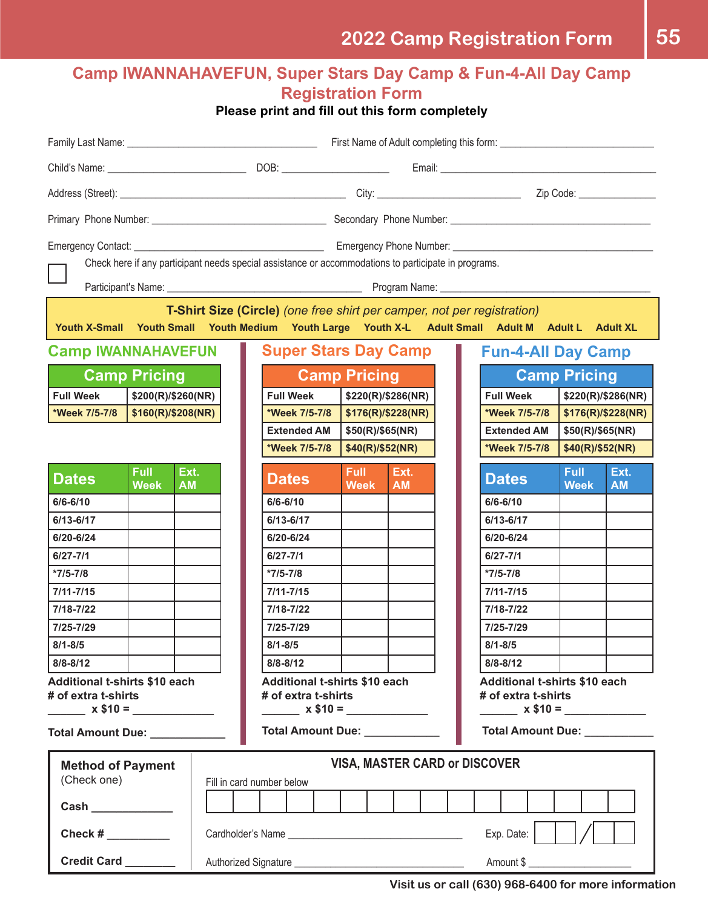### **Camp IWANNAHAVEFUN, Super Stars Day Camp & Fun-4-All Day Camp 2022 Camp IWANNAHAVEFUN, Super Stars Day Camp Registration Form Please print and fill out this form** completely

**Please print and fill out this form completely**

|                                                                                                                                                                                     |                     |                    |  | First Name: 1990 First Name: 1990 First Name of Adult completing this form: 1991 Manne: 1991 Manne: 1991 Manne |                                                 |           |                                                                          |                                        |                   |  |
|-------------------------------------------------------------------------------------------------------------------------------------------------------------------------------------|---------------------|--------------------|--|----------------------------------------------------------------------------------------------------------------|-------------------------------------------------|-----------|--------------------------------------------------------------------------|----------------------------------------|-------------------|--|
|                                                                                                                                                                                     |                     |                    |  |                                                                                                                |                                                 |           |                                                                          |                                        |                   |  |
|                                                                                                                                                                                     |                     |                    |  |                                                                                                                |                                                 |           |                                                                          |                                        |                   |  |
|                                                                                                                                                                                     |                     |                    |  |                                                                                                                |                                                 |           |                                                                          |                                        |                   |  |
| <b>Emergency Phone Number: CONSUMPLER 2006</b><br><b>Emergency Contact:</b><br>Check here if any participant needs special assistance or accommodations to participate in programs. |                     |                    |  |                                                                                                                |                                                 |           |                                                                          |                                        |                   |  |
| T-Shirt Size (Circle) (one free shirt per camper, not per registration)<br>Youth X-Small Youth Small Youth Medium Youth Large Youth X-L Adult Small Adult M Adult L Adult XL        |                     |                    |  |                                                                                                                |                                                 |           |                                                                          |                                        |                   |  |
| <b>Camp IWANNAHAVEFUN</b><br><b>Super Stars Day Camp</b><br><b>Fun-4-All Day Camp</b>                                                                                               |                     |                    |  |                                                                                                                |                                                 |           |                                                                          |                                        |                   |  |
| <b>Camp Pricing</b>                                                                                                                                                                 |                     |                    |  | <b>Camp Pricing</b>                                                                                            |                                                 |           | <b>Camp Pricing</b>                                                      |                                        |                   |  |
| <b>Full Week</b>                                                                                                                                                                    | \$200(R)/\$260(NR)  |                    |  | <b>Full Week</b>                                                                                               | \$220(R)/\$286(NR)                              |           | <b>Full Week</b>                                                         | \$220(R)/\$286(NR)                     |                   |  |
| *Week 7/5-7/8                                                                                                                                                                       |                     | \$160(R)/\$208(NR) |  | *Week 7/5-7/8                                                                                                  | \$176(R)/\$228(NR)                              |           | *Week 7/5-7/8                                                            | \$176(R)/\$228(NR)                     |                   |  |
|                                                                                                                                                                                     |                     |                    |  | <b>Extended AM</b>                                                                                             | \$50(R)/\$65(NR)                                |           |                                                                          | <b>Extended AM</b><br>\$50(R)/\$65(NR) |                   |  |
|                                                                                                                                                                                     |                     |                    |  | *Week 7/5-7/8                                                                                                  | \$40(R)/\$52(NR)                                |           | *Week 7/5-7/8                                                            | \$40(R)/\$52(NR)                       |                   |  |
| <b>Dates</b>                                                                                                                                                                        | Full<br><b>Week</b> | Ext.<br><b>AM</b>  |  | <b>Dates</b>                                                                                                   | <b>Full</b><br>Ext.<br><b>Week</b><br><b>AM</b> |           | <b>Dates</b>                                                             | <b>Full</b><br><b>Week</b>             | Ext.<br><b>AM</b> |  |
| $6/6 - 6/10$                                                                                                                                                                        |                     |                    |  | $6/6 - 6/10$                                                                                                   |                                                 |           | $6/6 - 6/10$                                                             |                                        |                   |  |
| 6/13-6/17                                                                                                                                                                           |                     |                    |  | 6/13-6/17                                                                                                      |                                                 |           | $6/13 - 6/17$                                                            |                                        |                   |  |
| 6/20-6/24                                                                                                                                                                           |                     |                    |  | 6/20-6/24                                                                                                      |                                                 |           | 6/20-6/24                                                                |                                        |                   |  |
| $6/27 - 7/1$                                                                                                                                                                        |                     |                    |  | $6/27 - 7/1$                                                                                                   |                                                 |           | $6/27 - 7/1$                                                             |                                        |                   |  |
| $*7/5-7/8$                                                                                                                                                                          |                     |                    |  | $*7/5-7/8$                                                                                                     |                                                 |           | $*7/5-7/8$                                                               |                                        |                   |  |
| $7/11 - 7/15$                                                                                                                                                                       |                     |                    |  | $7/11 - 7/15$                                                                                                  |                                                 |           | $7/11 - 7/15$                                                            |                                        |                   |  |
| 7/18-7/22                                                                                                                                                                           |                     |                    |  | 7/18-7/22                                                                                                      |                                                 |           | 7/18-7/22                                                                |                                        |                   |  |
| 7/25-7/29                                                                                                                                                                           |                     |                    |  | 7/25-7/29                                                                                                      |                                                 |           | 7/25-7/29                                                                |                                        |                   |  |
| $8/1 - 8/5$                                                                                                                                                                         |                     |                    |  | $8/1 - 8/5$                                                                                                    |                                                 |           | $8/1 - 8/5$                                                              |                                        |                   |  |
| $8/8 - 8/12$                                                                                                                                                                        |                     |                    |  | $8/8 - 8/12$                                                                                                   |                                                 |           | $8/8 - 8/12$                                                             |                                        |                   |  |
| Additional t-shirts \$10 each<br># of extra t-shirts<br>$x $10 =$                                                                                                                   |                     |                    |  | Additional t-shirts \$10 each<br># of extra t-shirts<br>$\frac{1}{2}$ x \$10 = $\frac{1}{2}$                   |                                                 |           | <b>Additional t-shirts \$10 each</b><br># of extra t-shirts<br>$x $10 =$ |                                        |                   |  |
| Total Amount Due: __________                                                                                                                                                        |                     |                    |  | <b>Total Amount Due:</b>                                                                                       |                                                 |           | <b>Total Amount Due:</b>                                                 |                                        |                   |  |
| <b>Method of Payment</b><br>(Check one)                                                                                                                                             |                     |                    |  | <b>VISA, MASTER CARD or DISCOVER</b><br>Fill in card number below                                              |                                                 |           |                                                                          |                                        |                   |  |
| Cash _____________                                                                                                                                                                  |                     |                    |  |                                                                                                                |                                                 |           |                                                                          |                                        |                   |  |
| Check #                                                                                                                                                                             |                     |                    |  | Exp. Date:                                                                                                     |                                                 |           |                                                                          |                                        |                   |  |
| Credit Card _______                                                                                                                                                                 |                     |                    |  |                                                                                                                |                                                 | Amount \$ |                                                                          |                                        |                   |  |